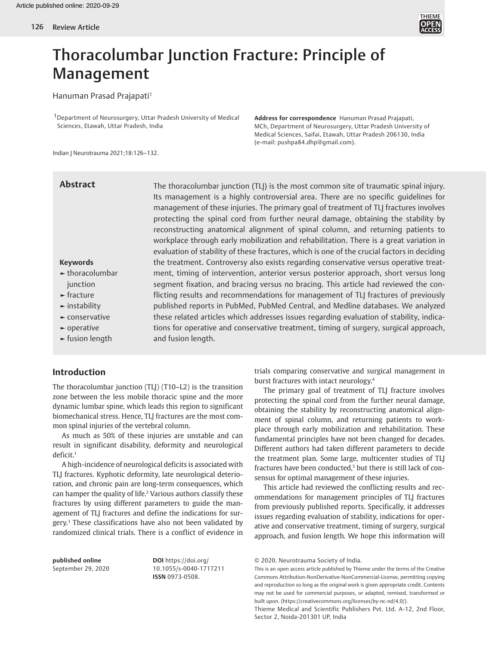

# Thoracolumbar Junction Fracture: Principle of Management

## Hanuman Prasad Prajapati<sup>1</sup>

1Department of Neurosurgery, Uttar Pradesh University of Medical Sciences, Etawah, Uttar Pradesh, India

**Address for correspondence** Hanuman Prasad Prajapati, MCh, Department of Neurosurgery, Uttar Pradesh University of Medical Sciences, Saifai, Etawah, Uttar Pradesh 206130, India (e-mail: pushpa84.dhp@gmail.com).

Indian J Neurotrauma 2021;18:126–132.

# **Abstract**

The thoracolumbar junction (TLJ) is the most common site of traumatic spinal injury. Its management is a highly controversial area. There are no specific guidelines for management of these injuries. The primary goal of treatment of TLJ fractures involves protecting the spinal cord from further neural damage, obtaining the stability by reconstructing anatomical alignment of spinal column, and returning patients to workplace through early mobilization and rehabilitation. There is a great variation in evaluation of stability of these fractures, which is one of the crucial factors in deciding the treatment. Controversy also exists regarding conservative versus operative treatment, timing of intervention, anterior versus posterior approach, short versus long segment fixation, and bracing versus no bracing. This article had reviewed the conflicting results and recommendations for management of TLJ fractures of previously published reports in PubMed, PubMed Central, and Medline databases. We analyzed these related articles which addresses issues regarding evaluation of stability, indications for operative and conservative treatment, timing of surgery, surgical approach, and fusion length.

#### **Keywords**

- **►** thoracolumbar iunction
- **►** fracture
- **►** instability
- **►** conservative
- **►** operative
- **►** fusion length

# **Introduction**

The thoracolumbar junction (TLJ) (T10–L2) is the transition zone between the less mobile thoracic spine and the more dynamic lumbar spine, which leads this region to significant biomechanical stress. Hence, TLJ fractures are the most common spinal injuries of the vertebral column.

As much as 50% of these injuries are unstable and can result in significant disability, deformity and neurological deficit.1

A high-incidence of neurological deficits is associated with TLJ fractures. Kyphotic deformity, late neurological deterioration, and chronic pain are long-term consequences, which can hamper the quality of life.<sup>2</sup> Various authors classify these fractures by using different parameters to guide the management of TLJ fractures and define the indications for surgery.3 These classifications have also not been validated by randomized clinical trials. There is a conflict of evidence in

**published online**  September 29, 2020 **DOI** https://doi.org/ 10.1055/s-0040-1717211 **ISSN** 0973-0508.

trials comparing conservative and surgical management in burst fractures with intact neurology.4

The primary goal of treatment of TLJ fracture involves protecting the spinal cord from the further neural damage, obtaining the stability by reconstructing anatomical alignment of spinal column, and returning patients to workplace through early mobilization and rehabilitation. These fundamental principles have not been changed for decades. Different authors had taken different parameters to decide the treatment plan. Some large, multicenter studies of TLJ fractures have been conducted,<sup>5</sup> but there is still lack of consensus for optimal management of these injuries.

This article had reviewed the conflicting results and recommendations for management principles of TLJ fractures from previously published reports. Specifically, it addresses issues regarding evaluation of stability, indications for operative and conservative treatment, timing of surgery, surgical approach, and fusion length. We hope this information will

This is an open access article published by Thieme under the terms of the Creative Commons Attribution-NonDerivative-NonCommercial-License, permitting copying and reproduction so long as the original work is given appropriate credit. Contents may not be used for commercial purposes, or adapted, remixed, transformed or built upon. (https://creativecommons.org/licenses/by-nc-nd/4.0/).

Thieme Medical and Scientific Publishers Pvt. Ltd. A-12, 2nd Floor, Sector 2, Noida-201301 UP, India

<sup>© 2020.</sup> Neurotrauma Society of India.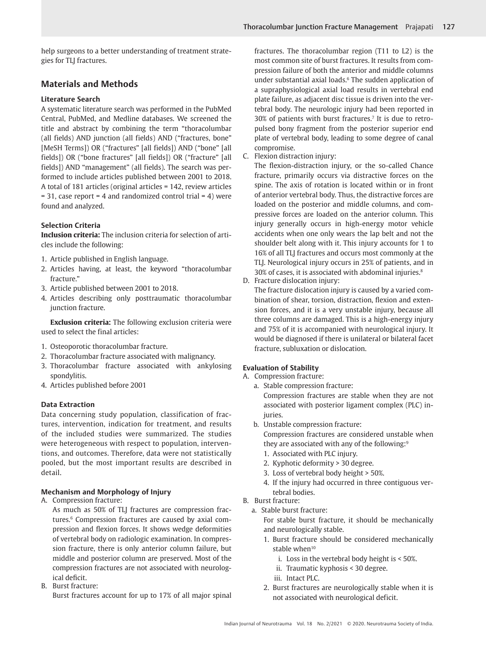help surgeons to a better understanding of treatment strategies for TLJ fractures.

# **Materials and Methods**

## **Literature Search**

A systematic literature search was performed in the PubMed Central, PubMed, and Medline databases. We screened the title and abstract by combining the term "thoracolumbar (all fields) AND junction (all fields) AND ("fractures, bone" [MeSH Terms]) OR ("fractures" [all fields]) AND ("bone" [all fields]) OR ("bone fractures" [all fields]) OR ("fracture" [all fields]) AND "management" (all fields). The search was performed to include articles published between 2001 to 2018. A total of 181 articles (original articles = 142, review articles  $= 31$ , case report  $= 4$  and randomized control trial  $= 4$ ) were found and analyzed.

# **Selection Criteria**

**Inclusion criteria:** The inclusion criteria for selection of articles include the following:

- 1. Article published in English language.
- 2. Articles having, at least, the keyword "thoracolumbar fracture."
- 3. Article published between 2001 to 2018.
- 4. Articles describing only posttraumatic thoracolumbar junction fracture.

**Exclusion criteria:** The following exclusion criteria were used to select the final articles:

- 1. Osteoporotic thoracolumbar fracture.
- 2. Thoracolumbar fracture associated with malignancy.
- 3. Thoracolumbar fracture associated with ankylosing spondylitis.
- 4. Articles published before 2001

# **Data Extraction**

Data concerning study population, classification of fractures, intervention, indication for treatment, and results of the included studies were summarized. The studies were heterogeneous with respect to population, interventions, and outcomes. Therefore, data were not statistically pooled, but the most important results are described in detail.

# **Mechanism and Morphology of Injury**

A. Compression fracture:

As much as 50% of TLJ fractures are compression fractures.<sup>6</sup> Compression fractures are caused by axial compression and flexion forces. It shows wedge deformities of vertebral body on radiologic examination. In compression fracture, there is only anterior column failure, but middle and posterior column are preserved. Most of the compression fractures are not associated with neurological deficit.

B. Burst fracture: Burst fractures account for up to 17% of all major spinal fractures. The thoracolumbar region (T11 to L2) is the most common site of burst fractures. It results from compression failure of both the anterior and middle columns under substantial axial loads.<sup>6</sup> The sudden application of a supraphysiological axial load results in vertebral end plate failure, as adjacent disc tissue is driven into the vertebral body. The neurologic injury had been reported in 30% of patients with burst fractures.7 It is due to retropulsed bony fragment from the posterior superior end plate of vertebral body, leading to some degree of canal compromise.

C. Flexion distraction injury:

The flexion-distraction injury, or the so-called Chance fracture, primarily occurs via distractive forces on the spine. The axis of rotation is located within or in front of anterior vertebral body. Thus, the distractive forces are loaded on the posterior and middle columns, and compressive forces are loaded on the anterior column. This injury generally occurs in high-energy motor vehicle accidents when one only wears the lap belt and not the shoulder belt along with it. This injury accounts for 1 to 16% of all TLJ fractures and occurs most commonly at the TLJ. Neurological injury occurs in 25% of patients, and in 30% of cases, it is associated with abdominal injuries.8

D. Fracture dislocation injury:

The fracture dislocation injury is caused by a varied combination of shear, torsion, distraction, flexion and extension forces, and it is a very unstable injury, because all three columns are damaged. This is a high-energy injury and 75% of it is accompanied with neurological injury. It would be diagnosed if there is unilateral or bilateral facet fracture, subluxation or dislocation.

# **Evaluation of Stability**

- A. Compression fracture:
	- a. Stable compression fracture: Compression fractures are stable when they are not associated with posterior ligament complex (PLC) injuries.
	- b. Unstable compression fracture: Compression fractures are considered unstable when they are associated with any of the following:<sup>9</sup>
		- 1. Associated with PLC injury.
		- 2. Kyphotic deformity > 30 degree.
		- 3. Loss of vertebral body height > 50%.
		- 4. If the injury had occurred in three contiguous vertebral bodies.
- B. Burst fracture:
- a. Stable burst fracture:

For stable burst fracture, it should be mechanically and neurologically stable.

- 1. Burst fracture should be considered mechanically stable when $10$ 
	- i. Loss in the vertebral body height is < 50%.
	- ii. Traumatic kyphosis < 30 degree.
	- iii. Intact PLC.
- 2. Burst fractures are neurologically stable when it is not associated with neurological deficit.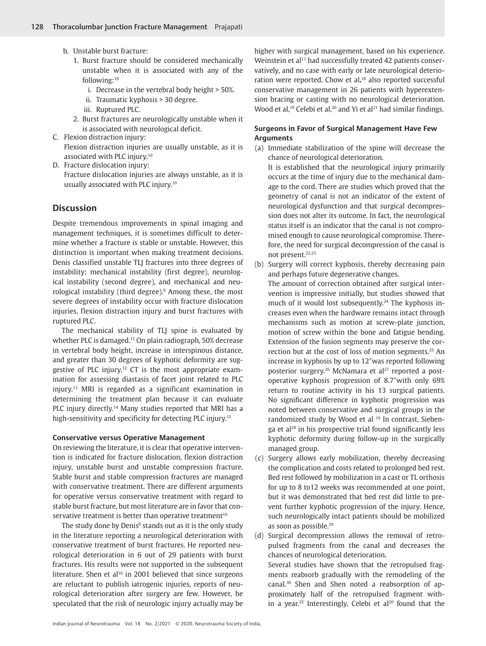- b. Unstable burst fracture:
	- 1. Burst fracture should be considered mechanically unstable when it is associated with any of the following:10
		- i. Decrease in the vertebral body height > 50%.
		- ii. Traumatic kyphosis > 30 degree.
		- iii. Ruptured PLC.
	- 2. Burst fractures are neurologically unstable when it is associated with neurological deficit.
- C. Flexion distraction injury: Flexion distraction injuries are usually unstable, as it is associated with PLC injury.10
- D. Fracture dislocation injury: Fracture dislocation injuries are always unstable, as it is usually associated with PLC injury.10

#### **Discussion**

Despite tremendous improvements in spinal imaging and management techniques, it is sometimes difficult to determine whether a fracture is stable or unstable. However, this distinction is important when making treatment decisions. Denis classified unstable TLJ fractures into three degrees of instability: mechanical instability (first degree), neurological instability (second degree), and mechanical and neurological instability (third degree).<sup>6</sup> Among these, the most severe degrees of instability occur with fracture dislocation injuries, flexion distraction injury and burst fractures with ruptured PLC.

The mechanical stability of TLJ spine is evaluated by whether PLC is damaged.<sup>11</sup> On plain radiograph, 50% decrease in vertebral body height, increase in interspinous distance, and greater than 30 degrees of kyphotic deformity are suggestive of PLC injury.12 CT is the most appropriate examination for assessing diastasis of facet joint related to PLC injury.13 MRI is regarded as a significant examination in determining the treatment plan because it can evaluate PLC injury directly.<sup>14</sup> Many studies reported that MRI has a high-sensitivity and specificity for detecting PLC injury.15

#### **Conservative versus Operative Management**

On reviewing the literature, it is clear that operative intervention is indicated for fracture dislocation, flexion distraction injury, unstable burst and unstable compression fracture. Stable burst and stable compression fractures are managed with conservative treatment. There are different arguments for operative versus conservative treatment with regard to stable burst fracture, but most literature are in favor that conservative treatment is better than operative treatment<sup>10</sup>

The study done by Denis<sup>6</sup> stands out as it is the only study in the literature reporting a neurological deterioration with conservative treatment of burst fractures. He reported neurological deterioration in 6 out of 29 patients with burst fractures. His results were not supported in the subsequent literature. Shen et al<sup>16</sup> in 2001 believed that since surgeons are reluctant to publish iatrogenic injuries, reports of neurological deterioration after surgery are few. However, he speculated that the risk of neurologic injury actually may be

higher with surgical management, based on his experience. Weinstein et al<sup>17</sup> had successfully treated 42 patients conservatively, and no case with early or late neurological deterioration were reported. Chow et al**.** 18 also reported successful conservative management in 26 patients with hyperextension bracing or casting with no neurological deterioration. Wood et al,<sup>19</sup> Celebi et al,<sup>20</sup> and Yi et al<sup>21</sup> had similar findings.

## **Surgeons in Favor of Surgical Management Have Few Arguments**

(a) Immediate stabilization of the spine will decrease the chance of neurological deterioration.

It is established that the neurological injury primarily occurs at the time of injury due to the mechanical damage to the cord. There are studies which proved that the geometry of canal is not an indicator of the extent of neurological dysfunction and that surgical decompression does not alter its outcome. In fact, the neurological status itself is an indicator that the canal is not compromised enough to cause neurological compromise. Therefore, the need for surgical decompression of the canal is not present.<sup>22,23</sup>

(b) Surgery will correct kyphosis, thereby decreasing pain and perhaps future degenerative changes.

The amount of correction obtained after surgical intervention is impressive initially, but studies showed that much of it would lost subsequently.<sup>24</sup> The kyphosis increases even when the hardware remains intact through mechanisms such as motion at screw-plate junction, motion of screw within the bone and fatigue bending. Extension of the fusion segments may preserve the correction but at the cost of loss of motion segments.<sup>25</sup> An increase in kyphosis by up to 12°was reported following posterior surgery.<sup>26</sup> McNamara et al<sup>27</sup> reported a postoperative kyphosis progression of 8.7°with only 69% return to routine activity in his 13 surgical patients. No significant difference in kyphotic progression was noted between conservative and surgical groups in the randomized study by Wood et al <sup>19</sup> In contrast, Siebenga et al<sup>28</sup> in his prospective trial found significantly less kyphotic deformity during follow-up in the surgically managed group.

(c) Surgery allows early mobilization, thereby decreasing the complication and costs related to prolonged bed rest. Bed rest followed by mobilization in a cast or TL orthosis for up to 8 to12 weeks was recommended at one point, but it was demonstrated that bed rest did little to prevent further kyphotic progression of the injury. Hence, such neurologically intact patients should be mobilized as soon as possible.29

(d) Surgical decompression allows the removal of retropulsed fragments from the canal and decreases the chances of neurological deterioration.

Several studies have shown that the retropulsed fragments reabsorb gradually with the remodeling of the canal.30 Shen and Shen noted a reabsorption of approximately half of the retropulsed fragment within a year.<sup>25</sup> Interestingly, Celebi et al<sup>20</sup> found that the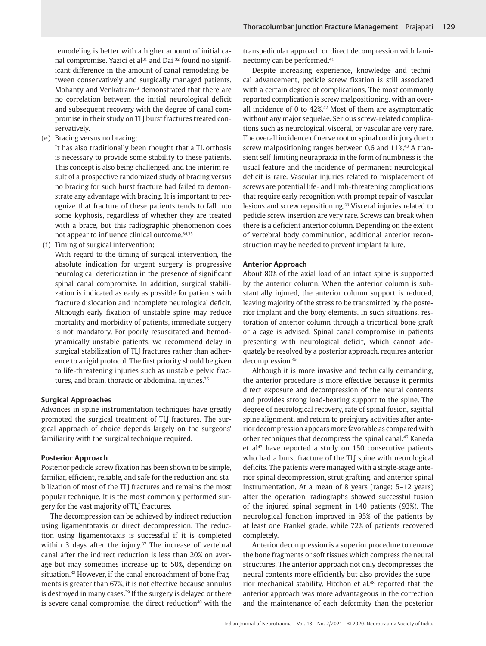remodeling is better with a higher amount of initial canal compromise. Yazici et al<sup>31</sup> and Dai <sup>32</sup> found no significant difference in the amount of canal remodeling between conservatively and surgically managed patients. Mohanty and Venkatram<sup>33</sup> demonstrated that there are no correlation between the initial neurological deficit and subsequent recovery with the degree of canal compromise in their study on TLJ burst fractures treated conservatively.

(e) Bracing versus no bracing:

It has also traditionally been thought that a TL orthosis is necessary to provide some stability to these patients. This concept is also being challenged, and the interim result of a prospective randomized study of bracing versus no bracing for such burst fracture had failed to demonstrate any advantage with bracing. It is important to recognize that fracture of these patients tends to fall into some kyphosis, regardless of whether they are treated with a brace, but this radiographic phenomenon does not appear to influence clinical outcome.<sup>34,35</sup>

(f) Timing of surgical intervention:

With regard to the timing of surgical intervention, the absolute indication for urgent surgery is progressive neurological deterioration in the presence of significant spinal canal compromise. In addition, surgical stabilization is indicated as early as possible for patients with fracture dislocation and incomplete neurological deficit. Although early fixation of unstable spine may reduce mortality and morbidity of patients, immediate surgery is not mandatory. For poorly resuscitated and hemodynamically unstable patients, we recommend delay in surgical stabilization of TLJ fractures rather than adherence to a rigid protocol. The first priority should be given to life-threatening injuries such as unstable pelvic fractures, and brain, thoracic or abdominal injuries.<sup>36</sup>

#### **Surgical Approaches**

Advances in spine instrumentation techniques have greatly promoted the surgical treatment of TLJ fractures. The surgical approach of choice depends largely on the surgeons' familiarity with the surgical technique required.

#### **Posterior Approach**

Posterior pedicle screw fixation has been shown to be simple, familiar, efficient, reliable, and safe for the reduction and stabilization of most of the TLJ fractures and remains the most popular technique. It is the most commonly performed surgery for the vast majority of TLJ fractures.

The decompression can be achieved by indirect reduction using ligamentotaxis or direct decompression. The reduction using ligamentotaxis is successful if it is completed within 3 days after the injury.<sup>37</sup> The increase of vertebral canal after the indirect reduction is less than 20% on average but may sometimes increase up to 50%, depending on situation.<sup>38</sup> However, if the canal encroachment of bone fragments is greater than 67%, it is not effective because annulus is destroyed in many cases.<sup>39</sup> If the surgery is delayed or there is severe canal compromise, the direct reduction<sup>40</sup> with the

transpedicular approach or direct decompression with laminectomy can be performed.41

Despite increasing experience, knowledge and technical advancement, pedicle screw fixation is still associated with a certain degree of complications. The most commonly reported complication is screw malpositioning, with an overall incidence of 0 to  $42\%$ .<sup>42</sup> Most of them are asymptomatic without any major sequelae. Serious screw-related complications such as neurological, visceral, or vascular are very rare. The overall incidence of nerve root or spinal cord injury due to screw malpositioning ranges between 0.6 and 11%.<sup>43</sup> A transient self-limiting neurapraxia in the form of numbness is the usual feature and the incidence of permanent neurological deficit is rare. Vascular injuries related to misplacement of screws are potential life- and limb-threatening complications that require early recognition with prompt repair of vascular lesions and screw repositioning.44 Visceral injuries related to pedicle screw insertion are very rare. Screws can break when there is a deficient anterior column. Depending on the extent of vertebral body comminution, additional anterior reconstruction may be needed to prevent implant failure.

#### **Anterior Approach**

About 80% of the axial load of an intact spine is supported by the anterior column. When the anterior column is substantially injured, the anterior column support is reduced, leaving majority of the stress to be transmitted by the posterior implant and the bony elements. In such situations, restoration of anterior column through a tricortical bone graft or a cage is advised. Spinal canal compromise in patients presenting with neurological deficit, which cannot adequately be resolved by a posterior approach, requires anterior decompression.45

Although it is more invasive and technically demanding, the anterior procedure is more effective because it permits direct exposure and decompression of the neural contents and provides strong load-bearing support to the spine. The degree of neurological recovery, rate of spinal fusion, sagittal spine alignment, and return to preinjury activities after anterior decompression appears more favorable as compared with other techniques that decompress the spinal canal.46 Kaneda et al<sup>47</sup> have reported a study on 150 consecutive patients who had a burst fracture of the TLJ spine with neurological deficits. The patients were managed with a single-stage anterior spinal decompression, strut grafting, and anterior spinal instrumentation. At a mean of 8 years (range: 5–12 years) after the operation, radiographs showed successful fusion of the injured spinal segment in 140 patients (93%). The neurological function improved in 95% of the patients by at least one Frankel grade, while 72% of patients recovered completely.

Anterior decompression is a superior procedure to remove the bone fragments or soft tissues which compress the neural structures. The anterior approach not only decompresses the neural contents more efficiently but also provides the superior mechanical stability. Hitchon et al.<sup>48</sup> reported that the anterior approach was more advantageous in the correction and the maintenance of each deformity than the posterior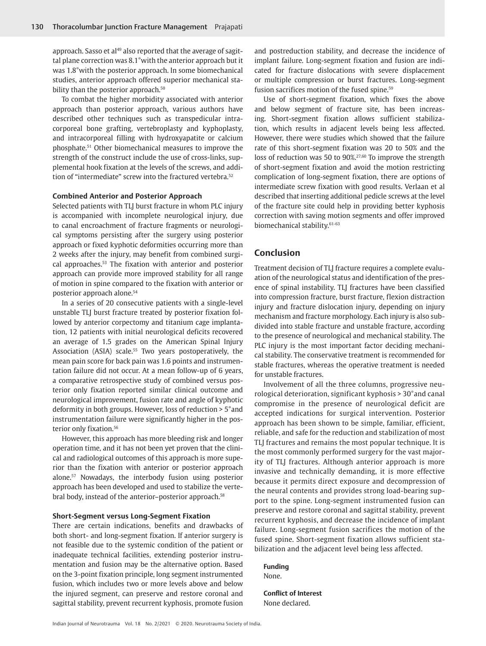approach. Sasso et al<sup>49</sup> also reported that the average of sagittal plane correction was 8.1°with the anterior approach but it was 1.8°with the posterior approach. In some biomechanical studies, anterior approach offered superior mechanical stability than the posterior approach.<sup>50</sup>

To combat the higher morbidity associated with anterior approach than posterior approach, various authors have described other techniques such as transpedicular intracorporeal bone grafting, vertebroplasty and kyphoplasty, and intracorporeal filling with hydroxyapatite or calcium phosphate.51 Other biomechanical measures to improve the strength of the construct include the use of cross-links, supplemental hook fixation at the levels of the screws, and addition of "intermediate" screw into the fractured vertebra.52

#### **Combined Anterior and Posterior Approach**

Selected patients with TLJ burst fracture in whom PLC injury is accompanied with incomplete neurological injury, due to canal encroachment of fracture fragments or neurological symptoms persisting after the surgery using posterior approach or fixed kyphotic deformities occurring more than 2 weeks after the injury, may benefit from combined surgical approaches.53 The fixation with anterior and posterior approach can provide more improved stability for all range of motion in spine compared to the fixation with anterior or posterior approach alone.54

In a series of 20 consecutive patients with a single-level unstable TLJ burst fracture treated by posterior fixation followed by anterior corpectomy and titanium cage implantation, 12 patients with initial neurological deficits recovered an average of 1.5 grades on the American Spinal Injury Association (ASIA) scale.<sup>55</sup> Two years postoperatively, the mean pain score for back pain was 1.6 points and instrumentation failure did not occur. At a mean follow-up of 6 years, a comparative retrospective study of combined versus posterior only fixation reported similar clinical outcome and neurological improvement, fusion rate and angle of kyphotic deformity in both groups. However, loss of reduction > 5°and instrumentation failure were significantly higher in the posterior only fixation.<sup>56</sup>

However, this approach has more bleeding risk and longer operation time, and it has not been yet proven that the clinical and radiological outcomes of this approach is more superior than the fixation with anterior or posterior approach alone.57 Nowadays, the interbody fusion using posterior approach has been developed and used to stabilize the vertebral body, instead of the anterior–posterior approach.<sup>58</sup>

#### **Short-Segment versus Long-Segment Fixation**

There are certain indications, benefits and drawbacks of both short- and long-segment fixation. If anterior surgery is not feasible due to the systemic condition of the patient or inadequate technical facilities, extending posterior instrumentation and fusion may be the alternative option. Based on the 3-point fixation principle, long segment instrumented fusion, which includes two or more levels above and below the injured segment, can preserve and restore coronal and sagittal stability, prevent recurrent kyphosis, promote fusion

and postreduction stability, and decrease the incidence of implant failure. Long-segment fixation and fusion are indicated for fracture dislocations with severe displacement or multiple compression or burst fractures. Long-segment fusion sacrifices motion of the fused spine.<sup>59</sup>

Use of short-segment fixation, which fixes the above and below segment of fracture site, has been increasing. Short-segment fixation allows sufficient stabilization, which results in adjacent levels being less affected. However, there were studies which showed that the failure rate of this short-segment fixation was 20 to 50% and the loss of reduction was 50 to 90%.27,60 To improve the strength of short-segment fixation and avoid the motion restricting complication of long-segment fixation, there are options of intermediate screw fixation with good results. Verlaan et al described that inserting additional pedicle screws at the level of the fracture site could help in providing better kyphosis correction with saving motion segments and offer improved biomechanical stability.<sup>61-63</sup>

# **Conclusion**

Treatment decision of TLJ fracture requires a complete evaluation of the neurological status and identification of the presence of spinal instability. TLJ fractures have been classified into compression fracture, burst fracture, flexion distraction injury and fracture dislocation injury, depending on injury mechanism and fracture morphology. Each injury is also subdivided into stable fracture and unstable fracture, according to the presence of neurological and mechanical stability. The PLC injury is the most important factor deciding mechanical stability. The conservative treatment is recommended for stable fractures, whereas the operative treatment is needed for unstable fractures.

Involvement of all the three columns, progressive neurological deterioration, significant kyphosis > 30°and canal compromise in the presence of neurological deficit are accepted indications for surgical intervention. Posterior approach has been shown to be simple, familiar, efficient, reliable, and safe for the reduction and stabilization of most TLJ fractures and remains the most popular technique. It is the most commonly performed surgery for the vast majority of TLJ fractures. Although anterior approach is more invasive and technically demanding, it is more effective because it permits direct exposure and decompression of the neural contents and provides strong load-bearing support to the spine. Long-segment instrumented fusion can preserve and restore coronal and sagittal stability, prevent recurrent kyphosis, and decrease the incidence of implant failure. Long-segment fusion sacrifices the motion of the fused spine. Short-segment fixation allows sufficient stabilization and the adjacent level being less affected.

**Funding** None.

**Conflict of Interest** None declared.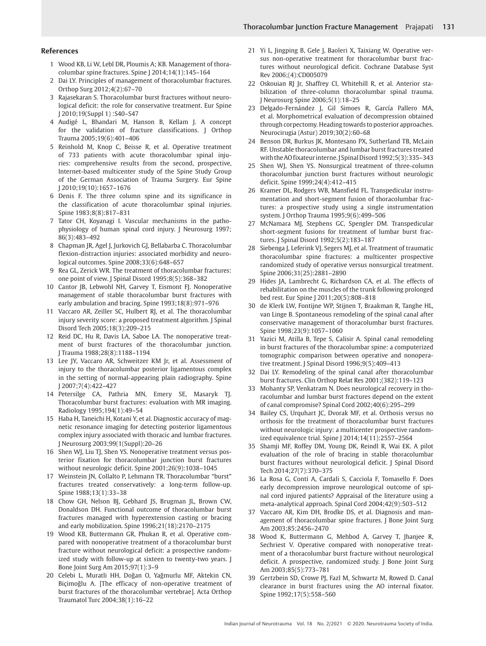#### **References**

- 1 Wood KB, Li W, Lebl DR, Ploumis A; KB. Management of thoracolumbar spine fractures. Spine J 2014;14(1):145–164
- 2 Dai LY. Principles of management of thoracolumbar fractures. Orthop Surg 2012;4(2):67–70
- 3 Rajasekaran S. Thoracolumbar burst fractures without neurological deficit: the role for conservative treatment. Eur Spine J 2010;19(Suppl 1) :S40–S47
- 4 Audigé L, Bhandari M, Hanson B, Kellam J. A concept for the validation of fracture classifications. J Orthop Trauma 2005;19(6):401–406
- 5 Reinhold M, Knop C, Beisse R, et al. Operative treatment of 733 patients with acute thoracolumbar spinal injuries: comprehensive results from the second, prospective, Internet-based multicenter study of the Spine Study Group of the German Association of Trauma Surgery. Eur Spine J 2010;19(10):1657–1676
- 6 Denis F. The three column spine and its significance in the classification of acute thoracolumbar spinal injuries. Spine 1983;8(8):817–831
- 7 Tator CH, Koyanagi I. Vascular mechanisms in the pathophysiology of human spinal cord injury. J Neurosurg 1997; 86(3):483–492
- 8 Chapman JR, Agel J, Jurkovich GJ, Bellabarba C. Thoracolumbar flexion-distraction injuries: associated morbidity and neurological outcomes. Spine 2008;33(6):648–657
- 9 Rea GL, Zerick WR. The treatment of thoracolumbar fractures: one point of view. J Spinal Disord 1995;8(5):368–382
- 10 Cantor JB, Lebwohl NH, Garvey T, Eismont FJ. Nonoperative management of stable thoracolumbar burst fractures with early ambulation and bracing. Spine 1993;18(8):971–976
- 11 Vaccaro AR, Zeiller SC, Hulbert RJ, et al. The thoracolumbar injury severity score: a proposed treatment algorithm. J Spinal Disord Tech 2005;18(3):209–215
- 12 Reid DC, Hu R, Davis LA, Saboe LA. The nonoperative treatment of burst fractures of the thoracolumbar junction. J Trauma 1988;28(8):1188–1194
- 13 Lee JY, Vaccaro AR, Schweitzer KM Jr, et al. Assessment of injury to the thoracolumbar posterior ligamentous complex in the setting of normal-appearing plain radiography. Spine J 2007;7(4):422–427
- 14 Petersilge CA, Pathria MN, Emery SE, Masaryk TJ. Thoracolumbar burst fractures: evaluation with MR imaging. Radiology 1995;194(1):49–54
- 15 Haba H, Taneichi H, Kotani Y, et al. Diagnostic accuracy of magnetic resonance imaging for detecting posterior ligamentous complex injury associated with thoracic and lumbar fractures. J Neurosurg 2003;99(1(Suppl):20–26
- 16 Shen WJ, Liu TJ, Shen YS. Nonoperative treatment versus posterior fixation for thoracolumbar junction burst fractures without neurologic deficit. Spine 2001;26(9):1038–1045
- 17 Weinstein JN, Collalto P, Lehmann TR. Thoracolumbar "burst" fractures treated conservatively: a long-term follow-up. Spine 1988;13(1):33–38
- 18 Chow GH, Nelson BJ, Gebhard JS, Brugman JL, Brown CW, Donaldson DH. Functional outcome of thoracolumbar burst fractures managed with hyperextension casting or bracing and early mobilization. Spine 1996;21(18):2170–2175
- 19 Wood KB, Buttermann GR, Phukan R, et al. Operative compared with nonoperative treatment of a thoracolumbar burst fracture without neurological deficit: a prospective randomized study with follow-up at sixteen to twenty-two years. J Bone Joint Surg Am 2015;97(1):3–9
- 20 Celebi L, Muratli HH, Doğan O, Yağmurlu MF, Aktekin CN, Biçimoğlu A. [The efficacy of non-operative treatment of burst fractures of the thoracolumbar vertebrae]. Acta Orthop Traumatol Turc 2004;38(1):16–22
- 21 Yi L, Jingping B, Gele J, Baoleri X, Taixiang W. Operative versus non-operative treatment for thoracolumbar burst fractures without neurological deficit. Cochrane Database Syst Rev 2006;(4):CD005079
- 22 Oskouian RJ Jr, Shaffrey CI, Whitehill R, et al. Anterior stabilization of three-column thoracolumbar spinal trauma. J Neurosurg Spine 2006;5(1):18–25
- 23 Delgado-Fernández J, Gil Simoes R, García Pallero MA, et al. Morphometrical evaluation of decompression obtained through corpectomy. Heading towards to posterior approaches. Neurocirugia (Astur) 2019;30(2):60–68
- 24 Benson DR, Burkus JK, Montesano PX, Sutherland TB, McLain RF. Unstable thoracolumbar and lumbar burst fractures treated with the AO fixateur interne. J Spinal Disord 1992;5(3):335–343
- 25 Shen WJ, Shen YS. Nonsurgical treatment of three-column thoracolumbar junction burst fractures without neurologic deficit. Spine 1999;24(4):412–415
- 26 Kramer DL, Rodgers WB, Mansfield FL. Transpedicular instrumentation and short-segment fusion of thoracolumbar fractures: a prospective study using a single instrumentation system. J Orthop Trauma 1995;9(6):499–506
- 27 McNamara MJ, Stephens GC, Spengler DM. Transpedicular short-segment fusions for treatment of lumbar burst fractures. J Spinal Disord 1992;5(2):183–187
- 28 Siebenga J, Leferink VJ, Segers MJ, et al. Treatment of traumatic thoracolumbar spine fractures: a multicenter prospective randomized study of operative versus nonsurgical treatment. Spine 2006;31(25):2881–2890
- 29 Hides JA, Lambrecht G, Richardson CA, et al. The effects of rehabilitation on the muscles of the trunk following prolonged bed rest. Eur Spine J 2011;20(5):808–818
- 30 de Klerk LW, Fontijne WP, Stijnen T, Braakman R, Tanghe HL, van Linge B. Spontaneous remodeling of the spinal canal after conservative management of thoracolumbar burst fractures. Spine 1998;23(9):1057–1060
- 31 Yazici M, Atilla B, Tepe S, Calisir A. Spinal canal remodeling in burst fractures of the thoracolumbar spine: a computerized tomographic comparison between operative and nonoperative treatment. J Spinal Disord 1996;9(5):409–413
- 32 Dai LY. Remodeling of the spinal canal after thoracolumbar burst fractures. Clin Orthop Relat Res 2001;(382):119–123
- 33 Mohanty SP, Venkatram N. Does neurological recovery in thoracolumbar and lumbar burst fractures depend on the extent of canal compromise? Spinal Cord 2002;40(6):295–299
- 34 Bailey CS, Urquhart JC, Dvorak MF, et al. Orthosis versus no orthosis for the treatment of thoracolumbar burst fractures without neurologic injury: a multicenter prospective randomized equivalence trial. Spine J 2014;14(11):2557–2564
- 35 Shamji MF, Roffey DM, Young DK, Reindl R, Wai EK. A pilot evaluation of the role of bracing in stable thoracolumbar burst fractures without neurological deficit. J Spinal Disord Tech 2014;27(7):370–375
- 36 La Rosa G, Conti A, Cardali S, Cacciola F, Tomasello F. Does early decompression improve neurological outcome of spinal cord injured patients? Appraisal of the literature using a meta-analytical approach. Spinal Cord 2004;42(9):503–512
- 37 Vaccaro AR, Kim DH, Brodke DS, et al. Diagnosis and management of thoracolumbar spine fractures. J Bone Joint Surg Am 2003;85:2456–2470
- 38 Wood K, Buttermann G, Mehbod A, Garvey T, Jhanjee R, Sechriest V. Operative compared with nonoperative treatment of a thoracolumbar burst fracture without neurological deficit. A prospective, randomized study. J Bone Joint Surg Am 2003;85(5):773–781
- 39 Gertzbein SD, Crowe PJ, Fazl M, Schwartz M, Rowed D. Canal clearance in burst fractures using the AO internal fixator. Spine 1992;17(5):558–560